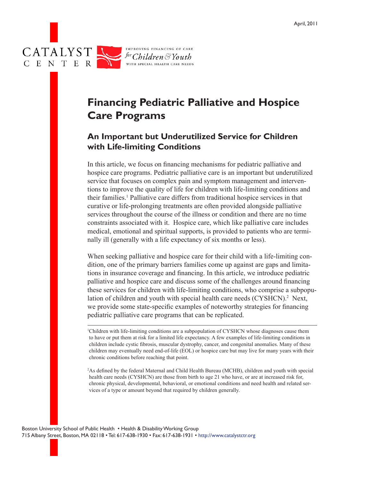

# **Financing Pediatric Palliative and Hospice Care Programs**

## **An Important but Underutilized Service for Children with Life-limiting Conditions**

In this article, we focus on financing mechanisms for pediatric palliative and hospice care programs. Pediatric palliative care is an important but underutilized service that focuses on complex pain and symptom management and interventions to improve the quality of life for children with life-limiting conditions and their families.<sup>1</sup> Palliative care differs from traditional hospice services in that curative or life-prolonging treatments are often provided alongside palliative services throughout the course of the illness or condition and there are no time constraints associated with it. Hospice care, which like palliative care includes medical, emotional and spiritual supports, is provided to patients who are terminally ill (generally with a life expectancy of six months or less).

When seeking palliative and hospice care for their child with a life-limiting condition, one of the primary barriers families come up against are gaps and limitations in insurance coverage and financing. In this article, we introduce pediatric palliative and hospice care and discuss some of the challenges around financing these services for children with life-limiting conditions, who comprise a subpopulation of children and youth with special health care needs (CYSHCN).<sup>2</sup> Next, we provide some state-specific examples of noteworthy strategies for financing pediatric palliative care programs that can be replicated.

1 Children with life-limiting conditions are a subpopulation of CYSHCN whose diagnoses cause them to have or put them at risk for a limited life expectancy. A few examples of life-limiting conditions in children include cystic fibrosis, muscular dystrophy, cancer, and congenital anomalies. Many of these children may eventually need end-of-life (EOL) or hospice care but may live for many years with their chronic conditions before reaching that point.

2 As defined by the federal Maternal and Child Health Bureau (MCHB), children and youth with special health care needs (CYSHCN) are those from birth to age 21 who have, or are at increased risk for, chronic physical, developmental, behavioral, or emotional conditions and need health and related services of a type or amount beyond that required by children generally.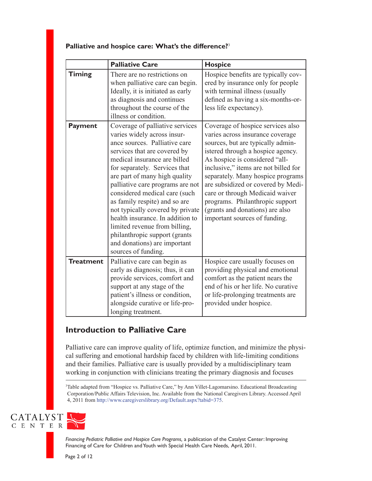|                  | <b>Palliative Care</b>                                                                                                                                                                                                                                                                                                                                                                                                                                                                                                                   | <b>Hospice</b>                                                                                                                                                                                                                                                                                                                                                                                                                                 |
|------------------|------------------------------------------------------------------------------------------------------------------------------------------------------------------------------------------------------------------------------------------------------------------------------------------------------------------------------------------------------------------------------------------------------------------------------------------------------------------------------------------------------------------------------------------|------------------------------------------------------------------------------------------------------------------------------------------------------------------------------------------------------------------------------------------------------------------------------------------------------------------------------------------------------------------------------------------------------------------------------------------------|
| <b>Timing</b>    | There are no restrictions on<br>when palliative care can begin.<br>Ideally, it is initiated as early<br>as diagnosis and continues<br>throughout the course of the<br>illness or condition.                                                                                                                                                                                                                                                                                                                                              | Hospice benefits are typically cov-<br>ered by insurance only for people<br>with terminal illness (usually<br>defined as having a six-months-or-<br>less life expectancy).                                                                                                                                                                                                                                                                     |
| <b>Payment</b>   | Coverage of palliative services<br>varies widely across insur-<br>ance sources. Palliative care<br>services that are covered by<br>medical insurance are billed<br>for separately. Services that<br>are part of many high quality<br>palliative care programs are not<br>considered medical care (such<br>as family respite) and so are<br>not typically covered by private<br>health insurance. In addition to<br>limited revenue from billing,<br>philanthropic support (grants<br>and donations) are important<br>sources of funding. | Coverage of hospice services also<br>varies across insurance coverage<br>sources, but are typically admin-<br>istered through a hospice agency.<br>As hospice is considered "all-<br>inclusive," items are not billed for<br>separately. Many hospice programs<br>are subsidized or covered by Medi-<br>care or through Medicaid waiver<br>programs. Philanthropic support<br>(grants and donations) are also<br>important sources of funding. |
| <b>Treatment</b> | Palliative care can begin as<br>early as diagnosis; thus, it can<br>provide services, comfort and<br>support at any stage of the<br>patient's illness or condition,<br>alongside curative or life-pro-<br>longing treatment.                                                                                                                                                                                                                                                                                                             | Hospice care usually focuses on<br>providing physical and emotional<br>comfort as the patient nears the<br>end of his or her life. No curative<br>or life-prolonging treatments are<br>provided under hospice.                                                                                                                                                                                                                                 |

### **Palliative and hospice care: What's the difference?**<sup>3</sup>

## **Introduction to Palliative Care**

Palliative care can improve quality of life, optimize function, and minimize the physical suffering and emotional hardship faced by children with life-limiting conditions and their families. Palliative care is usually provided by a multidisciplinary team working in conjunction with clinicians treating the primary diagnosis and focuses

3 Table adapted from "Hospice vs. Palliative Care," by Ann Villet-Lagomarsino. Educational Broadcasting Corporation/Public Affairs Television, Inc. Available from the National Caregivers Library. Accessed April 4, 2011 from http://www.caregiverslibrary.org/Default.aspx?tabid=375.

CATALYST C E N T E R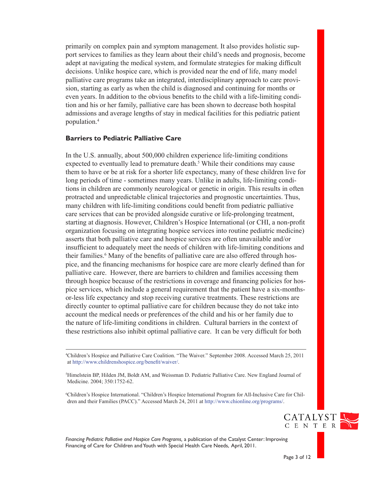primarily on complex pain and symptom management. It also provides holistic support services to families as they learn about their child's needs and prognosis, become adept at navigating the medical system, and formulate strategies for making difficult decisions. Unlike hospice care, which is provided near the end of life, many model palliative care programs take an integrated, interdisciplinary approach to care provision, starting as early as when the child is diagnosed and continuing for months or even years. In addition to the obvious benefits to the child with a life-limiting condition and his or her family, palliative care has been shown to decrease both hospital admissions and average lengths of stay in medical facilities for this pediatric patient population.<sup>4</sup>

### **Barriers to Pediatric Palliative Care**

In the U.S. annually, about 500,000 children experience life-limiting conditions expected to eventually lead to premature death.<sup>5</sup> While their conditions may cause them to have or be at risk for a shorter life expectancy, many of these children live for long periods of time - sometimes many years. Unlike in adults, life-limiting conditions in children are commonly neurological or genetic in origin. This results in often protracted and unpredictable clinical trajectories and prognostic uncertainties. Thus, many children with life-limiting conditions could benefit from pediatric palliative care services that can be provided alongside curative or life-prolonging treatment, starting at diagnosis. However, Children's Hospice International (or CHI, a non-profit organization focusing on integrating hospice services into routine pediatric medicine) asserts that both palliative care and hospice services are often unavailable and/or insufficient to adequately meet the needs of children with life-limiting conditions and their families.<sup>6</sup> Many of the benefits of palliative care are also offered through hospice, and the financing mechanisms for hospice care are more clearly defined than for palliative care. However, there are barriers to children and families accessing them through hospice because of the restrictions in coverage and financing policies for hospice services, which include a general requirement that the patient have a six-monthsor-less life expectancy and stop receiving curative treatments. These restrictions are directly counter to optimal palliative care for children because they do not take into account the medical needs or preferences of the child and his or her family due to the nature of life-limiting conditions in children. Cultural barriers in the context of these restrictions also inhibit optimal palliative care. It can be very difficult for both

4 Children's Hospice and Palliative Care Coalition. "The Waiver." September 2008. Accessed March 25, 2011 at http://www.childrenshospice.org/benefit/waiver/.

5 Himelstein BP, Hilden JM, Boldt AM, and Weissman D. Pediatric Palliative Care. New England Journal of Medicine. 2004; 350:1752-62.

6 Children's Hospice International. "Children's Hospice International Program for All-Inclusive Care for Children and their Families (PACC)." Accessed March 24, 2011 at http://www.chionline.org/programs/.

*Financing Pediatric Palliative and Hospice Care Programs,* a publication of the Catalyst Center: Improving Financing of Care for Children and Youth with Special Health Care Needs, April, 2011.

Page 3 of 12

CATALYST C E N T E R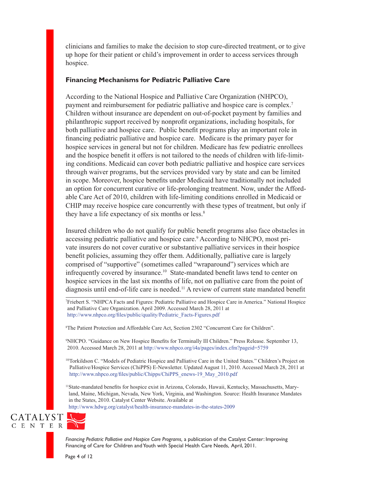clinicians and families to make the decision to stop cure-directed treatment, or to give up hope for their patient or child's improvement in order to access services through hospice.

### **Financing Mechanisms for Pediatric Palliative Care**

According to the National Hospice and Palliative Care Organization (NHPCO), payment and reimbursement for pediatric palliative and hospice care is complex.7 Children without insurance are dependent on out-of-pocket payment by families and philanthropic support received by nonprofit organizations, including hospitals, for both palliative and hospice care. Public benefit programs play an important role in financing pediatric palliative and hospice care. Medicare is the primary payer for hospice services in general but not for children. Medicare has few pediatric enrollees and the hospice benefit it offers is not tailored to the needs of children with life-limiting conditions. Medicaid can cover both pediatric palliative and hospice care services through waiver programs, but the services provided vary by state and can be limited in scope. Moreover, hospice benefits under Medicaid have traditionally not included an option for concurrent curative or life-prolonging treatment. Now, under the Affordable Care Act of 2010, children with life-limiting conditions enrolled in Medicaid or CHIP may receive hospice care concurrently with these types of treatment, but only if they have a life expectancy of six months or less.<sup>8</sup>

Insured children who do not qualify for public benefit programs also face obstacles in accessing pediatric palliative and hospice care.<sup>9</sup> According to NHCPO, most private insurers do not cover curative or substantive palliative services in their hospice benefit policies, assuming they offer them. Additionally, palliative care is largely comprised of "supportive" (sometimes called "wraparound") services which are infrequently covered by insurance.<sup>10</sup> State-mandated benefit laws tend to center on hospice services in the last six months of life, not on palliative care from the point of diagnosis until end-of-life care is needed.<sup>11</sup> A review of current state mandated benefit

7 Friebert S. "NHPCA Facts and Figures: Pediatric Palliative and Hospice Care in America." National Hospice and Palliative Care Organization. April 2009. Accessed March 28, 2011 at http://www.nhpco.org/files/public/quality/Pediatric\_Facts-Figures.pdf

8 The Patient Protection and Affordable Care Act, Section 2302 "Concurrent Care for Children".

9 NHCPO. "Guidance on New Hospice Benefits for Terminally Ill Children." Press Release. September 13, 2010. Accessed March 28, 2011 at http://www.nhpco.org/i4a/pages/index.cfm?pageid=5759

10|Torkildson C. "Models of Pediatric Hospice and Palliative Care in the United States." Children's Project on Palliative/Hospice Services (ChiPPS) E-Newsletter. Updated August 11, 2010. Accessed March 28, 2011 at http://www.nhpco.org/files/public/Chipps/ChiPPS\_enews-19\_May\_2010.pdf

11State-mandated benefits for hospice exist in Arizona, Colorado, Hawaii, Kentucky, Massachusetts, Maryland, Maine, Michigan, Nevada, New York, Virginia, and Washington. Source: Health Insurance Mandates in the States, 2010. Catalyst Center Website. Available at http://www.hdwg.org/catalyst/health-insurance-mandates-in-the-states-2009

### CATALYST C E N T E R

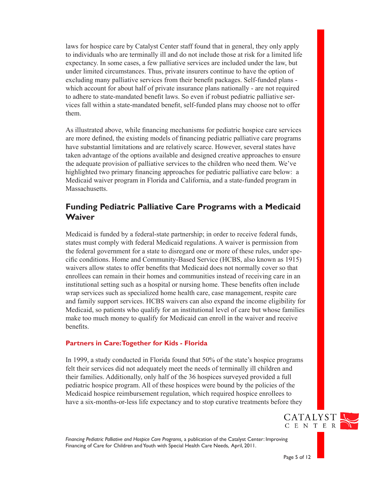laws for hospice care by Catalyst Center staff found that in general, they only apply to individuals who are terminally ill and do not include those at risk for a limited life expectancy. In some cases, a few palliative services are included under the law, but under limited circumstances. Thus, private insurers continue to have the option of excluding many palliative services from their benefit packages. Self-funded plans which account for about half of private insurance plans nationally - are not required to adhere to state-mandated benefit laws. So even if robust pediatric palliative services fall within a state-mandated benefit, self-funded plans may choose not to offer them.

As illustrated above, while financing mechanisms for pediatric hospice care services are more defined, the existing models of financing pediatric palliative care programs have substantial limitations and are relatively scarce. However, several states have taken advantage of the options available and designed creative approaches to ensure the adequate provision of palliative services to the children who need them. We've highlighted two primary financing approaches for pediatric palliative care below: a Medicaid waiver program in Florida and California, and a state-funded program in Massachusetts.

## **Funding Pediatric Palliative Care Programs with a Medicaid Waiver**

Medicaid is funded by a federal-state partnership; in order to receive federal funds, states must comply with federal Medicaid regulations. A waiver is permission from the federal government for a state to disregard one or more of these rules, under specific conditions. Home and Community-Based Service (HCBS, also known as 1915) waivers allow states to offer benefits that Medicaid does not normally cover so that enrollees can remain in their homes and communities instead of receiving care in an institutional setting such as a hospital or nursing home. These benefits often include wrap services such as specialized home health care, case management, respite care and family support services. HCBS waivers can also expand the income eligibility for Medicaid, so patients who qualify for an institutional level of care but whose families make too much money to qualify for Medicaid can enroll in the waiver and receive benefits.

### **Partners in Care: Together for Kids - Florida**

In 1999, a study conducted in Florida found that 50% of the state's hospice programs felt their services did not adequately meet the needs of terminally ill children and their families. Additionally, only half of the 36 hospices surveyed provided a full pediatric hospice program. All of these hospices were bound by the policies of the Medicaid hospice reimbursement regulation, which required hospice enrollees to have a six-months-or-less life expectancy and to stop curative treatments before they

*Financing Pediatric Palliative and Hospice Care Programs,* a publication of the Catalyst Center: Improving Financing of Care for Children and Youth with Special Health Care Needs, April, 2011.

CATALYST C E N T E R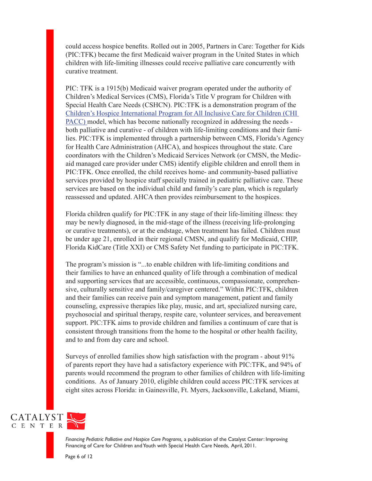could access hospice benefits. Rolled out in 2005, Partners in Care: Together for Kids (PIC:TFK) became the first Medicaid waiver program in the United States in which children with life-limiting illnesses could receive palliative care concurrently with curative treatment.

PIC: TFK is a 1915(b) Medicaid waiver program operated under the authority of Children's Medical Services (CMS), Florida's Title V program for Children with Special Health Care Needs (CSHCN). PIC:TFK is a demonstration program of the [Children's Hospice International Program for All Inclusive Care for Children \(CHI](http://www.chionline.org/states/fl.php)  [PACC\) m](http://www.chionline.org/states/fl.php)odel, which has become nationally recognized in addressing the needs both palliative and curative - of children with life-limiting conditions and their families. PIC:TFK is implemented through a partnership between CMS, Florida's Agency for Health Care Administration (AHCA), and hospices throughout the state. Care coordinators with the Children's Medicaid Services Network (or CMSN, the Medicaid managed care provider under CMS) identify eligible children and enroll them in PIC:TFK. Once enrolled, the child receives home- and community-based palliative services provided by hospice staff specially trained in pediatric palliative care. These services are based on the individual child and family's care plan, which is regularly reassessed and updated. AHCA then provides reimbursement to the hospices.

Florida children qualify for PIC:TFK in any stage of their life-limiting illness: they may be newly diagnosed, in the mid-stage of the illness (receiving life-prolonging or curative treatments), or at the endstage, when treatment has failed. Children must be under age 21, enrolled in their regional CMSN, and qualify for Medicaid, CHIP, Florida KidCare (Title XXI) or CMS Safety Net funding to participate in PIC:TFK.

The program's mission is "...to enable children with life-limiting conditions and their families to have an enhanced quality of life through a combination of medical and supporting services that are accessible, continuous, compassionate, comprehensive, culturally sensitive and family/caregiver centered." Within PIC:TFK, children and their families can receive pain and symptom management, patient and family counseling, expressive therapies like play, music, and art, specialized nursing care, psychosocial and spiritual therapy, respite care, volunteer services, and bereavement support. PIC:TFK aims to provide children and families a continuum of care that is consistent through transitions from the home to the hospital or other health facility, and to and from day care and school.

Surveys of enrolled families show high satisfaction with the program - about 91% of parents report they have had a satisfactory experience with PIC:TFK, and 94% of parents would recommend the program to other families of children with life-limiting conditions. As of January 2010, eligible children could access PIC:TFK services at eight sites across Florida: in Gainesville, Ft. Myers, Jacksonville, Lakeland, Miami,

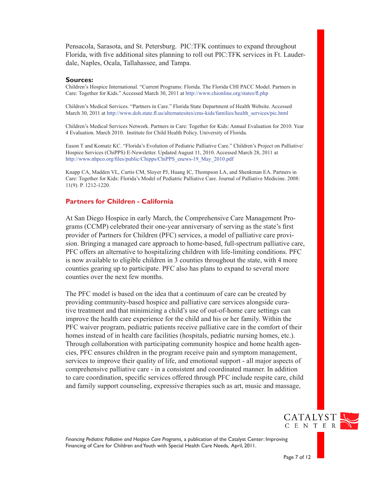Pensacola, Sarasota, and St. Petersburg. PIC:TFK continues to expand throughout Florida, with five additional sites planning to roll out PIC:TFK services in Ft. Lauderdale, Naples, Ocala, Tallahassee, and Tampa.

#### **Sources:**

Children's Hospice International. "Current Programs: Florida. The Florida CHI PACC Model. Partners in Care: Together for Kids." Accessed March 30, 2011 at http://www.chionline.org/states/fl.php

Children's Medical Services. "Partners in Care." Florida State Department of Health Website. Accessed March 30, 2011 at http://www.doh.state.fl.us/alternatesites/cms-kids/families/health\_services/pic.html

Children's Medical Services Network. Partners in Care: Together for Kids: Annual Evaluation for 2010. Year 4 Evaluation. March 2010. Institute for Child Health Policy. University of Florida.

Eason T and Komatz KC. "Florida's Evolution of Pediatric Palliative Care." Children's Project on Palliative/ Hospice Services (ChiPPS) E-Newsletter. Updated August 11, 2010. Accessed March 28, 2011 at http://www.nhpco.org/files/public/Chipps/ChiPPS\_enews-19\_May\_2010.pdf

Knapp CA, Madden VL, Curtis CM, Sloyer PJ, Huang IC, Thompson LA, and Shenkman EA. Partners in Care: Together for Kids: Florida's Model of Pediatric Palliative Care. Journal of Palliative Medicine. 2008: 11(9). P. 1212-1220.

#### **Partners for Children - California**

At San Diego Hospice in early March, the Comprehensive Care Management Programs (CCMP) celebrated their one-year anniversary of serving as the state's first provider of Partners for Children (PFC) services, a model of palliative care provision. Bringing a managed care approach to home-based, full-spectrum palliative care, PFC offers an alternative to hospitalizing children with life-limiting conditions. PFC is now available to eligible children in 3 counties throughout the state, with 4 more counties gearing up to participate. PFC also has plans to expand to several more counties over the next few months.

The PFC model is based on the idea that a continuum of care can be created by providing community-based hospice and palliative care services alongside curative treatment and that minimizing a child's use of out-of-home care settings can improve the health care experience for the child and his or her family. Within the PFC waiver program, pediatric patients receive palliative care in the comfort of their homes instead of in health care facilities (hospitals, pediatric nursing homes, etc.). Through collaboration with participating community hospice and home health agencies, PFC ensures children in the program receive pain and symptom management, services to improve their quality of life, and emotional support - all major aspects of comprehensive palliative care - in a consistent and coordinated manner. In addition to care coordination, specific services offered through PFC include respite care, child and family support counseling, expressive therapies such as art, music and massage,

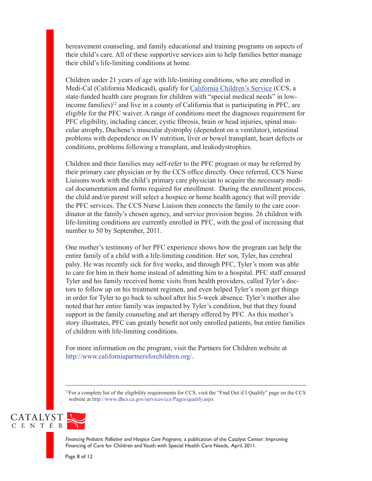bereavement counseling, and family educational and training programs on aspects of their child's care. All of these supportive services aim to help families better manage their child's life-limiting conditions at home.

Children under 21 years of age with life-limiting conditions, who are enrolled in Medi-Cal (California Medicaid), qualify for [California Children's Service](http://www.dhcs.ca.gov/services/ccs/Pages/default.aspx) (CCS, a state-funded health care program for children with "special medical needs" in lowincome families)<sup>12</sup> and live in a county of California that is participating in PFC, are eligible for the PFC waiver. A range of conditions meet the diagnoses requirement for PFC eligibility, including cancer, cystic fibrosis, brain or head injuries, spinal muscular atrophy, Duchene's muscular dystrophy (dependent on a ventilator), intestinal problems with dependence on IV nutrition, liver or bowel transplant, heart defects or conditions, problems following a transplant, and leukodystrophies.

Children and their families may self-refer to the PFC program or may be referred by their primary care physician or by the CCS office directly. Once referred, CCS Nurse Liaisons work with the child's primary care physician to acquire the necessary medical documentation and forms required for enrollment. During the enrollment process, the child and/or parent will select a hospice or home health agency that will provide the PFC services. The CCS Nurse Liaison then connects the family to the care coordinator at the family's chosen agency, and service provision begins. 26 children with life-limiting conditions are currently enrolled in PFC, with the goal of increasing that number to 50 by September, 2011.

One mother's testimony of her PFC experience shows how the program can help the entire family of a child with a life-limiting condition. Her son, Tyler, has cerebral palsy. He was recently sick for five weeks, and through PFC, Tyler's mom was able to care for him in their home instead of admitting him to a hospital. PFC staff ensured Tyler and his family received home visits from health providers, called Tyler's doctors to follow up on his treatment regimen, and even helped Tyler's mom get things in order for Tyler to go back to school after his 5-week absence. Tyler's mother also noted that her entire family was impacted by Tyler's condition, but that they found support in the family counseling and art therapy offered by PFC. As this mother's story illustrates, PFC can greatly benefit not only enrolled patients, but entire families of children with life-limiting conditions.

For more information on the program, visit the Partners for Children website at http://www.californiapartnersforchildren.org/.

<sup>12</sup>For a complete list of the eligibility requirements for CCS, visit the "Find Out if I Qualify" page on the CCS website at http://www.dhcs.ca.gov/services/ccs/Pages/qualify.aspx



*Financing Pediatric Palliative and Hospice Care Programs,* a publication of the Catalyst Center: Improving Financing of Care for Children and Youth with Special Health Care Needs, April, 2011.

Page 8 of 12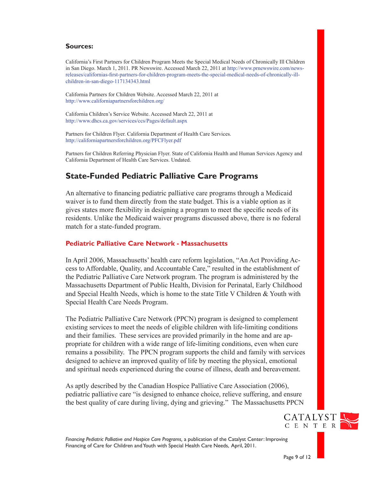#### **Sources:**

California's First Partners for Children Program Meets the Special Medical Needs of Chronically Ill Children in San Diego. March 1, 2011. PR Newswire. Accessed March 22, 2011 at [http://www.prnewswire.com/news](http://www.prnewswire.com/news-releases/californias-first-partners-for-children-program-meets-the-special-medical-needs-of-chronically-ill-children-in-san-diego-117134343.html)[releases/californias-first-partners-for-children-program-meets-the-special-medical-needs-of-chronically-ill](http://www.prnewswire.com/news-releases/californias-first-partners-for-children-program-meets-the-special-medical-needs-of-chronically-ill-children-in-san-diego-117134343.html)[children-in-san-diego-117134343.html](http://www.prnewswire.com/news-releases/californias-first-partners-for-children-program-meets-the-special-medical-needs-of-chronically-ill-children-in-san-diego-117134343.html) 

California Partners for Children Website. Accessed March 22, 2011 at http://www.californiapartnersforchildren.org/

California Children's Service Website. Accessed March 22, 2011 at http://www.dhcs.ca.gov/services/ccs/Pages/default.aspx

Partners for Children Flyer. California Department of Health Care Services. http://californiapartnersforchildren.org/PFCFlyer.pdf

Partners for Children Referring Physician Flyer. State of California Health and Human Services Agency and California Department of Health Care Services. Undated.

## **State-Funded Pediatric Palliative Care Programs**

An alternative to financing pediatric palliative care programs through a Medicaid waiver is to fund them directly from the state budget. This is a viable option as it gives states more flexibility in designing a program to meet the specific needs of its residents. Unlike the Medicaid waiver programs discussed above, there is no federal match for a state-funded program.

#### **Pediatric Palliative Care Network - Massachusetts**

In April 2006, Massachusetts' health care reform legislation, "An Act Providing Access to Affordable, Quality, and Accountable Care," resulted in the establishment of the Pediatric Palliative Care Network program. The program is administered by the Massachusetts Department of Public Health, Division for Perinatal, Early Childhood and Special Health Needs, which is home to the state Title V Children & Youth with Special Health Care Needs Program.

The Pediatric Palliative Care Network (PPCN) program is designed to complement existing services to meet the needs of eligible children with life-limiting conditions and their families. These services are provided primarily in the home and are appropriate for children with a wide range of life-limiting conditions, even when cure remains a possibility. The PPCN program supports the child and family with services designed to achieve an improved quality of life by meeting the physical, emotional and spiritual needs experienced during the course of illness, death and bereavement.

As aptly described by the Canadian Hospice Palliative Care Association (2006), pediatric palliative care "is designed to enhance choice, relieve suffering, and ensure the best quality of care during living, dying and grieving." The Massachusetts PPCN

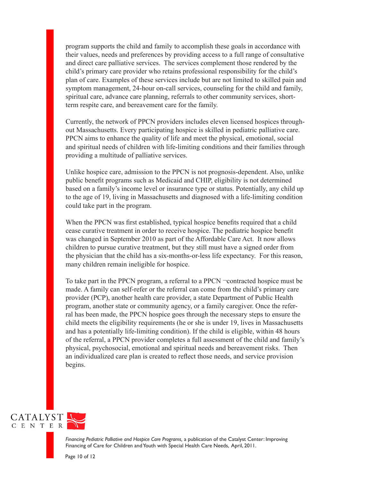program supports the child and family to accomplish these goals in accordance with their values, needs and preferences by providing access to a full range of consultative and direct care palliative services. The services complement those rendered by the child's primary care provider who retains professional responsibility for the child's plan of care. Examples of these services include but are not limited to skilled pain and symptom management, 24-hour on-call services, counseling for the child and family, spiritual care, advance care planning, referrals to other community services, shortterm respite care, and bereavement care for the family.

Currently, the network of PPCN providers includes eleven licensed hospices throughout Massachusetts. Every participating hospice is skilled in pediatric palliative care. PPCN aims to enhance the quality of life and meet the physical, emotional, social and spiritual needs of children with life-limiting conditions and their families through providing a multitude of palliative services.

Unlike hospice care, admission to the PPCN is not prognosis-dependent. Also, unlike public benefit programs such as Medicaid and CHIP, eligibility is not determined based on a family's income level or insurance type or status. Potentially, any child up to the age of 19, living in Massachusetts and diagnosed with a life-limiting condition could take part in the program.

When the PPCN was first established, typical hospice benefits required that a child cease curative treatment in order to receive hospice. The pediatric hospice benefit was changed in September 2010 as part of the Affordable Care Act. It now allows children to pursue curative treatment, but they still must have a signed order from the physician that the child has a six-months-or-less life expectancy. For this reason, many children remain ineligible for hospice.

To take part in the PPCN program, a referral to a PPCN ¬contracted hospice must be made. A family can self-refer or the referral can come from the child's primary care provider (PCP), another health care provider, a state Department of Public Health program, another state or community agency, or a family caregiver. Once the referral has been made, the PPCN hospice goes through the necessary steps to ensure the child meets the eligibility requirements (he or she is under 19, lives in Massachusetts and has a potentially life-limiting condition). If the child is eligible, within 48 hours of the referral, a PPCN provider completes a full assessment of the child and family's physical, psychosocial, emotional and spiritual needs and bereavement risks. Then an individualized care plan is created to reflect those needs, and service provision begins.



*Financing Pediatric Palliative and Hospice Care Programs,* a publication of the Catalyst Center: Improving Financing of Care for Children and Youth with Special Health Care Needs, April, 2011.

Page 10 of 12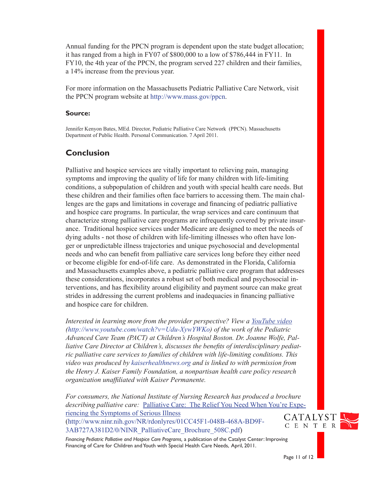Annual funding for the PPCN program is dependent upon the state budget allocation; it has ranged from a high in FY07 of \$800,000 to a low of \$786,444 in FY11. In FY10, the 4th year of the PPCN, the program served 227 children and their families, a 14% increase from the previous year.

For more information on the Massachusetts Pediatric Palliative Care Network, visit the PPCN program website at http://www.mass.gov/ppcn.

#### **Source:**

Jennifer Kenyon Bates, MEd. Director, Pediatric Palliative Care Network (PPCN). Massachusetts Department of Public Health. Personal Communication. 7 April 2011.

## **Conclusion**

Palliative and hospice services are vitally important to relieving pain, managing symptoms and improving the quality of life for many children with life-limiting conditions, a subpopulation of children and youth with special health care needs. But these children and their families often face barriers to accessing them. The main challenges are the gaps and limitations in coverage and financing of pediatric palliative and hospice care programs. In particular, the wrap services and care continuum that characterize strong palliative care programs are infrequently covered by private insurance. Traditional hospice services under Medicare are designed to meet the needs of dying adults - not those of children with life-limiting illnesses who often have longer or unpredictable illness trajectories and unique psychosocial and developmental needs and who can benefit from palliative care services long before they either need or become eligible for end-of-life care. As demonstrated in the Florida, California and Massachusetts examples above, a pediatric palliative care program that addresses these considerations, incorporates a robust set of both medical and psychosocial interventions, and has flexibility around eligibility and payment source can make great strides in addressing the current problems and inadequacies in financing palliative and hospice care for children.

*Interested in learning more from the provider perspective? View a [YouTube video](http://www.youtube.com/watch?v=Udu-XywYWKo) (http://www.youtube.com/watch?v=Udu-XywYWKo) of the work of the Pediatric Advanced Care Team (PACT) at Children's Hospital Boston. Dr. Joanne Wolfe, Palliative Care Director at Children's, discusses the benefits of interdisciplinary pediatric palliative care services to families of children with life-limiting conditions. This video was produced by [kaiserhealthnews.org](http://www.kaiserhealthnews.org/) and is linked to with permission from the Henry J. Kaiser Family Foundation, a nonpartisan health care policy research organization unaffiliated with Kaiser Permanente.* 

*For consumers, the National Institute of Nursing Research has produced a brochure describing palliative care:* [Palliative Care: The Relief You Need When You're Expe](http://www.ninr.nih.gov/NR/rdonlyres/01CC45F1-048B-468A-BD9F-3AB727A381D2/0/NINR_PalliativeCare_Brochure_508C.pdf)[riencing the Symptoms of Serious Illness](http://www.ninr.nih.gov/NR/rdonlyres/01CC45F1-048B-468A-BD9F-3AB727A381D2/0/NINR_PalliativeCare_Brochure_508C.pdf)

([http://www.ninr.nih.gov/NR/rdonlyres/01CC45F1-048B-468A-BD9F-](http://www.ninr.nih.gov/NR/rdonlyres/01CC45F1-048B-468A-BD9F-3AB727A381D2/0/NINR_PalliativeCare_Brochure_508C.pdf)[3AB727A381D2/0/NINR\\_PalliativeCare\\_Brochure\\_508C.pdf](http://www.ninr.nih.gov/NR/rdonlyres/01CC45F1-048B-468A-BD9F-3AB727A381D2/0/NINR_PalliativeCare_Brochure_508C.pdf))

*Financing Pediatric Palliative and Hospice Care Programs,* a publication of the Catalyst Center: Improving Financing of Care for Children and Youth with Special Health Care Needs, April, 2011.



Page 11 of 12